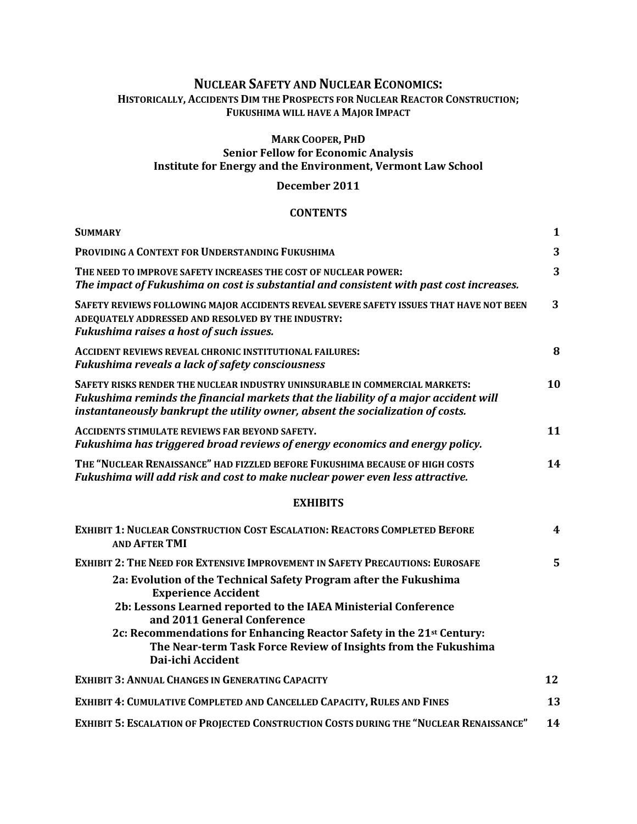# **NUCLEAR SAFETY AND NUCLEAR ECONOMICS: HISTORICALLY, ACCIDENTS DIM THE PROSPECTS FOR NUCLEAR REACTOR CONSTRUCTION; FUKUSHIMA WILL HAVE A MAJOR IMPACT**

### **MARK COOPER, PHD**

# **Senior Fellow for Economic Analysis Institute for Energy and the Environment, Vermont Law School**

## **December 2011**

### **CONTENTS**

| <b>SUMMARY</b>                                                                                                                                                                                                                                       | $\mathbf{1}$ |
|------------------------------------------------------------------------------------------------------------------------------------------------------------------------------------------------------------------------------------------------------|--------------|
| PROVIDING A CONTEXT FOR UNDERSTANDING FUKUSHIMA                                                                                                                                                                                                      | 3            |
| THE NEED TO IMPROVE SAFETY INCREASES THE COST OF NUCLEAR POWER:<br>The impact of Fukushima on cost is substantial and consistent with past cost increases.                                                                                           | 3            |
| SAFETY REVIEWS FOLLOWING MAJOR ACCIDENTS REVEAL SEVERE SAFETY ISSUES THAT HAVE NOT BEEN<br>ADEQUATELY ADDRESSED AND RESOLVED BY THE INDUSTRY:<br>Fukushima raises a host of such issues.                                                             | 3            |
| <b>ACCIDENT REVIEWS REVEAL CHRONIC INSTITUTIONAL FAILURES:</b><br>Fukushima reveals a lack of safety consciousness                                                                                                                                   | 8            |
| SAFETY RISKS RENDER THE NUCLEAR INDUSTRY UNINSURABLE IN COMMERCIAL MARKETS:<br>Fukushima reminds the financial markets that the liability of a major accident will<br>instantaneously bankrupt the utility owner, absent the socialization of costs. | 10           |
| <b>ACCIDENTS STIMULATE REVIEWS FAR BEYOND SAFETY.</b><br>Fukushima has triggered broad reviews of energy economics and energy policy.                                                                                                                | 11           |
| THE "NUCLEAR RENAISSANCE" HAD FIZZLED BEFORE FUKUSHIMA BECAUSE OF HIGH COSTS<br>Fukushima will add risk and cost to make nuclear power even less attractive.                                                                                         | 14           |
| <b>EXHIBITS</b>                                                                                                                                                                                                                                      |              |
| <b>EXHIBIT 1: NUCLEAR CONSTRUCTION COST ESCALATION: REACTORS COMPLETED BEFORE</b><br><b>AND AFTER TMI</b>                                                                                                                                            | 4            |
| <b>EXHIBIT 2: THE NEED FOR EXTENSIVE IMPROVEMENT IN SAFETY PRECAUTIONS: EUROSAFE</b>                                                                                                                                                                 | 5            |
| 2a: Evolution of the Technical Safety Program after the Fukushima<br><b>Experience Accident</b>                                                                                                                                                      |              |
| 2b: Lessons Learned reported to the IAEA Ministerial Conference<br>and 2011 General Conference                                                                                                                                                       |              |
| 2c: Recommendations for Enhancing Reactor Safety in the 21 <sup>st</sup> Century:<br>The Near-term Task Force Review of Insights from the Fukushima<br>Dai-ichi Accident                                                                             |              |
| <b>EXHIBIT 3: ANNUAL CHANGES IN GENERATING CAPACITY</b>                                                                                                                                                                                              | 12           |
| EXHIBIT 4: CUMULATIVE COMPLETED AND CANCELLED CAPACITY, RULES AND FINES                                                                                                                                                                              | 13           |
| <b>EXHIBIT 5: ESCALATION OF PROJECTED CONSTRUCTION COSTS DURING THE "NUCLEAR RENAISSANCE"</b>                                                                                                                                                        | 14           |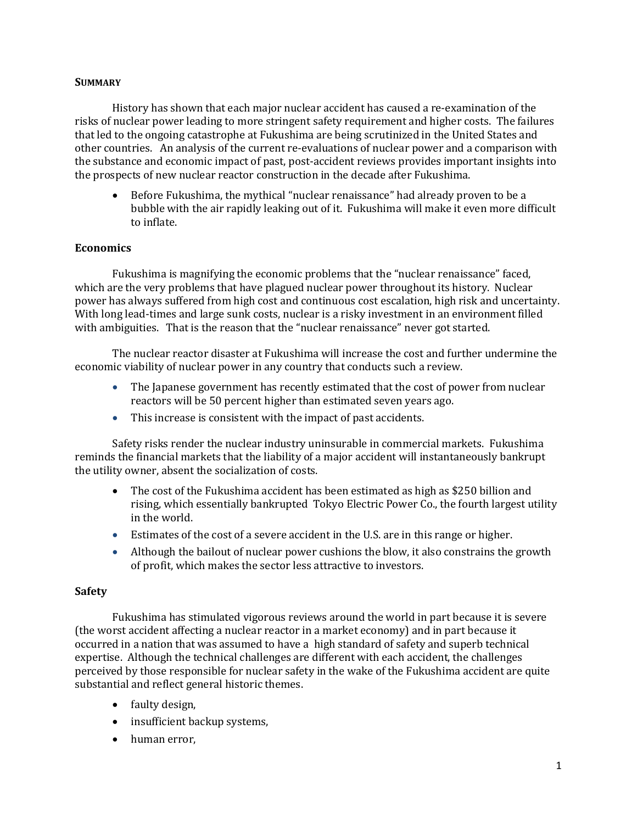### **SUMMARY**

History has shown that each major nuclear accident has caused a re-examination of the risks of nuclear power leading to more stringent safety requirement and higher costs. The failures that led to the ongoing catastrophe at Fukushima are being scrutinized in the United States and other countries. An analysis of the current re-evaluations of nuclear power and a comparison with the substance and economic impact of past, post-accident reviews provides important insights into the prospects of new nuclear reactor construction in the decade after Fukushima.

 Before Fukushima, the mythical "nuclear renaissance" had already proven to be a bubble with the air rapidly leaking out of it. Fukushima will make it even more difficult to inflate.

### **Economics**

Fukushima is magnifying the economic problems that the "nuclear renaissance" faced, which are the very problems that have plagued nuclear power throughout its history. Nuclear power has always suffered from high cost and continuous cost escalation, high risk and uncertainty. With long lead-times and large sunk costs, nuclear is a risky investment in an environment filled with ambiguities. That is the reason that the "nuclear renaissance" never got started.

The nuclear reactor disaster at Fukushima will increase the cost and further undermine the economic viability of nuclear power in any country that conducts such a review.

- The Japanese government has recently estimated that the cost of power from nuclear reactors will be 50 percent higher than estimated seven years ago.
- This increase is consistent with the impact of past accidents.

Safety risks render the nuclear industry uninsurable in commercial markets. Fukushima reminds the financial markets that the liability of a major accident will instantaneously bankrupt the utility owner, absent the socialization of costs.

- The cost of the Fukushima accident has been estimated as high as \$250 billion and rising, which essentially bankrupted Tokyo Electric Power Co., the fourth largest utility in the world.
- Estimates of the cost of a severe accident in the U.S. are in this range or higher.
- Although the bailout of nuclear power cushions the blow, it also constrains the growth of profit, which makes the sector less attractive to investors.

### **Safety**

Fukushima has stimulated vigorous reviews around the world in part because it is severe (the worst accident affecting a nuclear reactor in a market economy) and in part because it occurred in a nation that was assumed to have a high standard of safety and superb technical expertise. Although the technical challenges are different with each accident, the challenges perceived by those responsible for nuclear safety in the wake of the Fukushima accident are quite substantial and reflect general historic themes.

- faulty design,
- insufficient backup systems,
- human error,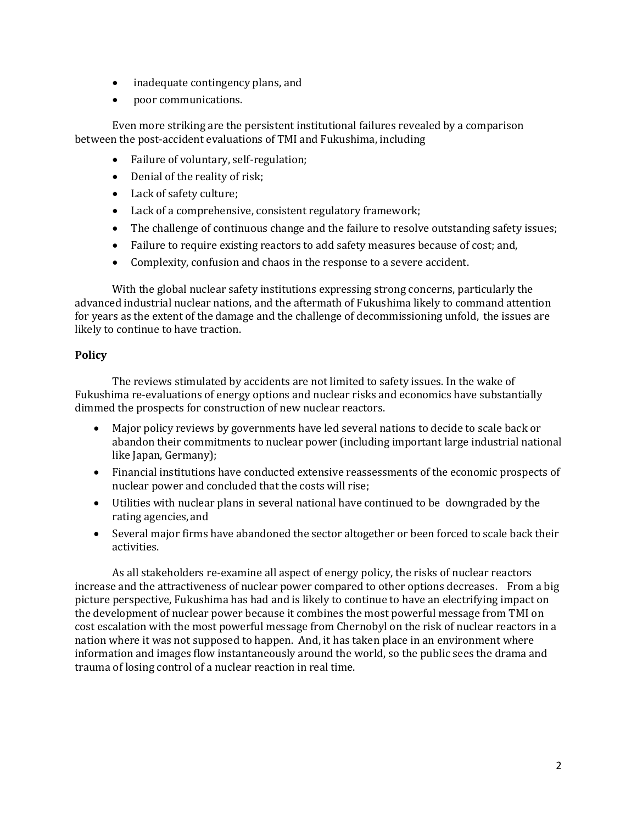- inadequate contingency plans, and
- poor communications.

Even more striking are the persistent institutional failures revealed by a comparison between the post-accident evaluations of TMI and Fukushima, including

- Failure of voluntary, self-regulation;
- Denial of the reality of risk;
- Lack of safety culture;
- Lack of a comprehensive, consistent regulatory framework;
- The challenge of continuous change and the failure to resolve outstanding safety issues;
- Failure to require existing reactors to add safety measures because of cost; and,
- Complexity, confusion and chaos in the response to a severe accident.

With the global nuclear safety institutions expressing strong concerns, particularly the advanced industrial nuclear nations, and the aftermath of Fukushima likely to command attention for years as the extent of the damage and the challenge of decommissioning unfold, the issues are likely to continue to have traction.

# **Policy**

The reviews stimulated by accidents are not limited to safety issues. In the wake of Fukushima re-evaluations of energy options and nuclear risks and economics have substantially dimmed the prospects for construction of new nuclear reactors.

- Major policy reviews by governments have led several nations to decide to scale back or abandon their commitments to nuclear power (including important large industrial national like Japan, Germany);
- Financial institutions have conducted extensive reassessments of the economic prospects of nuclear power and concluded that the costs will rise;
- Utilities with nuclear plans in several national have continued to be downgraded by the rating agencies, and
- Several major firms have abandoned the sector altogether or been forced to scale back their activities.

As all stakeholders re-examine all aspect of energy policy, the risks of nuclear reactors increase and the attractiveness of nuclear power compared to other options decreases. From a big picture perspective, Fukushima has had and is likely to continue to have an electrifying impact on the development of nuclear power because it combines the most powerful message from TMI on cost escalation with the most powerful message from Chernobyl on the risk of nuclear reactors in a nation where it was not supposed to happen. And, it has taken place in an environment where information and images flow instantaneously around the world, so the public sees the drama and trauma of losing control of a nuclear reaction in real time.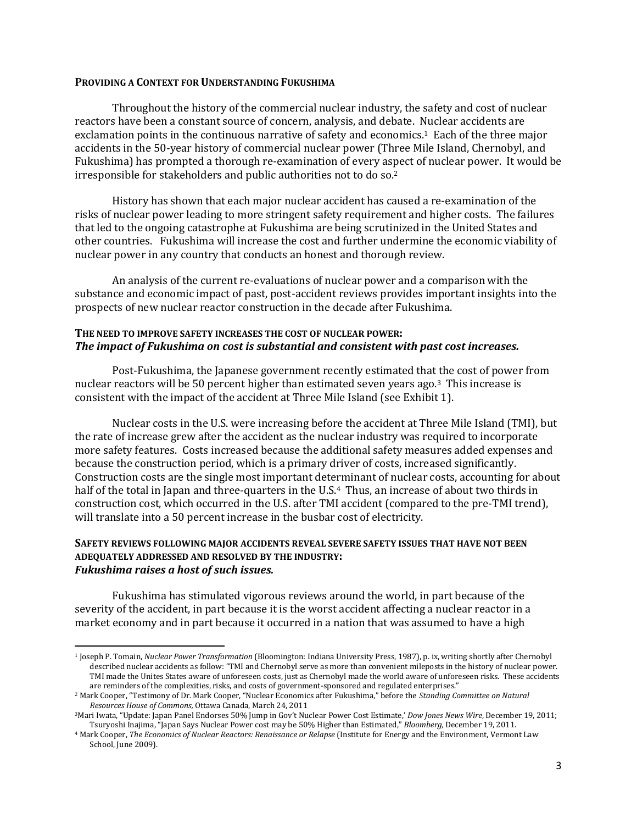#### **PROVIDING A CONTEXT FOR UNDERSTANDING FUKUSHIMA**

Throughout the history of the commercial nuclear industry, the safety and cost of nuclear reactors have been a constant source of concern, analysis, and debate. Nuclear accidents are exclamation points in the continuous narrative of safety and economics.<sup>1</sup> Each of the three major accidents in the 50-year history of commercial nuclear power (Three Mile Island, Chernobyl, and Fukushima) has prompted a thorough re-examination of every aspect of nuclear power. It would be irresponsible for stakeholders and public authorities not to do so.<sup>2</sup>

History has shown that each major nuclear accident has caused a re-examination of the risks of nuclear power leading to more stringent safety requirement and higher costs. The failures that led to the ongoing catastrophe at Fukushima are being scrutinized in the United States and other countries. Fukushima will increase the cost and further undermine the economic viability of nuclear power in any country that conducts an honest and thorough review.

An analysis of the current re-evaluations of nuclear power and a comparison with the substance and economic impact of past, post-accident reviews provides important insights into the prospects of new nuclear reactor construction in the decade after Fukushima.

### **THE NEED TO IMPROVE SAFETY INCREASES THE COST OF NUCLEAR POWER:** *The impact of Fukushima on cost is substantial and consistent with past cost increases.*

Post-Fukushima, the Japanese government recently estimated that the cost of power from nuclear reactors will be 50 percent higher than estimated seven years ago.3 This increase is consistent with the impact of the accident at Three Mile Island (see Exhibit 1).

Nuclear costs in the U.S. were increasing before the accident at Three Mile Island (TMI), but the rate of increase grew after the accident as the nuclear industry was required to incorporate more safety features. Costs increased because the additional safety measures added expenses and because the construction period, which is a primary driver of costs, increased significantly. Construction costs are the single most important determinant of nuclear costs, accounting for about half of the total in Japan and three-quarters in the U.S.<sup>4</sup> Thus, an increase of about two thirds in construction cost, which occurred in the U.S. after TMI accident (compared to the pre-TMI trend), will translate into a 50 percent increase in the busbar cost of electricity.

#### **SAFETY REVIEWS FOLLOWING MAJOR ACCIDENTS REVEAL SEVERE SAFETY ISSUES THAT HAVE NOT BEEN ADEQUATELY ADDRESSED AND RESOLVED BY THE INDUSTRY:** *Fukushima raises a host of such issues.*

Fukushima has stimulated vigorous reviews around the world, in part because of the severity of the accident, in part because it is the worst accident affecting a nuclear reactor in a market economy and in part because it occurred in a nation that was assumed to have a high

l

<sup>1</sup> Joseph P. Tomain, *Nuclear Power Transformation* (Bloomington: Indiana University Press, 1987), p. ix, writing shortly after Chernobyl described nuclear accidents as follow: "TMI and Chernobyl serve as more than convenient mileposts in the history of nuclear power. TMI made the Unites States aware of unforeseen costs, just as Chernobyl made the world aware of unforeseen risks. These accidents are reminders of the complexities, risks, and costs of government-sponsored and regulated enterprises."

<sup>2</sup> Mark Cooper, "Testimony of Dr. Mark Cooper, "Nuclear Economics after Fukushima," before the *Standing Committee on Natural Resources House of Commons,* Ottawa Canada, March 24, 2011

<sup>3</sup>Mari Iwata, "Update: Japan Panel Endorses 50% Jump in Gov't Nuclear Power Cost Estimate,' *Dow Jones News Wire*, December 19, 2011; Tsuryoshi Inajima, "Japan Says Nuclear Power cost may be 50% Higher than Estimated," *Bloomberg,* December 19, 2011.

<sup>4</sup> Mark Cooper, *The Economics of Nuclear Reactors: Renaissance or Relapse* (Institute for Energy and the Environment, Vermont Law School, June 2009).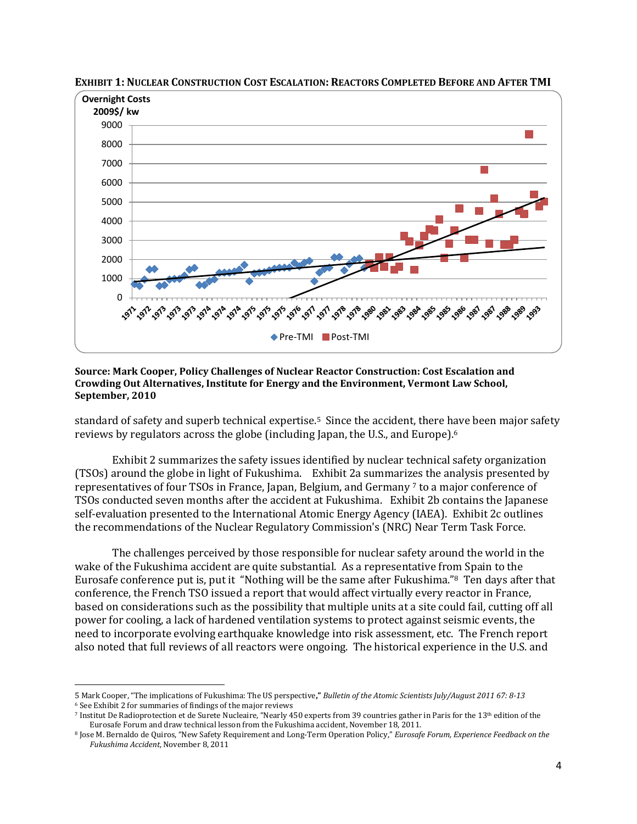

EXHIBIT 1: NUCLEAR CONSTRUCTION COST ESCALATION: REACTORS COMPLETED BEFORE AND AFTER TMI

#### **Source: Mark Cooper, Policy Challenges of Nuclear Reactor Construction: Cost Escalation and Crowding Out Alternatives, Institute for Energy and the Environment, Vermont Law School, September, 2010**

standard of safety and superb technical expertise.5 Since the accident, there have been major safety reviews by regulators across the globe (including Japan, the U.S., and Europe). 6

Exhibit 2 summarizes the safety issues identified by nuclear technical safety organization (TSOs) around the globe in light of Fukushima. Exhibit 2a summarizes the analysis presented by representatives of four TSOs in France, Japan, Belgium, and Germany <sup>7</sup> to a major conference of TSOs conducted seven months after the accident at Fukushima. Exhibit 2b contains the Japanese self-evaluation presented to the International Atomic Energy Agency (IAEA). Exhibit 2c outlines the recommendations of the Nuclear Regulatory Commission's (NRC) Near Term Task Force.

The challenges perceived by those responsible for nuclear safety around the world in the wake of the Fukushima accident are quite substantial. As a representative from Spain to the Eurosafe conference put is, put it "Nothing will be the same after Fukushima."8 Ten days after that conference, the French TSO issued a report that would affect virtually every reactor in France, based on considerations such as the possibility that multiple units at a site could fail, cutting off all power for cooling, a lack of hardened ventilation systems to protect against seismic events, the need to incorporate evolving earthquake knowledge into risk assessment, etc. The French report also noted that full reviews of all reactors were ongoing. The historical experience in the U.S. and

 $\overline{a}$ 

<sup>5</sup> Mark Cooper, "The implications of Fukushima: The US perspective**,"** *Bulletin of the Atomic Scientists July/August 2011 67: 8-13* <sup>6</sup> See Exhibit 2 for summaries of findings of the major reviews

<sup>7</sup> Institut De Radioprotection et de Surete Nucleaire, "Nearly 450 experts from 39 countries gather in Paris for the 13th edition of the Eurosafe Forum and draw technical lesson from the Fukushima accident, November 18, 2011.

<sup>8</sup> Jose M. Bernaldo de Quiros, "New Safety Requirement and Long-Term Operation Policy," *Eurosafe Forum, Experience Feedback on the Fukushima Accident*, November 8, 2011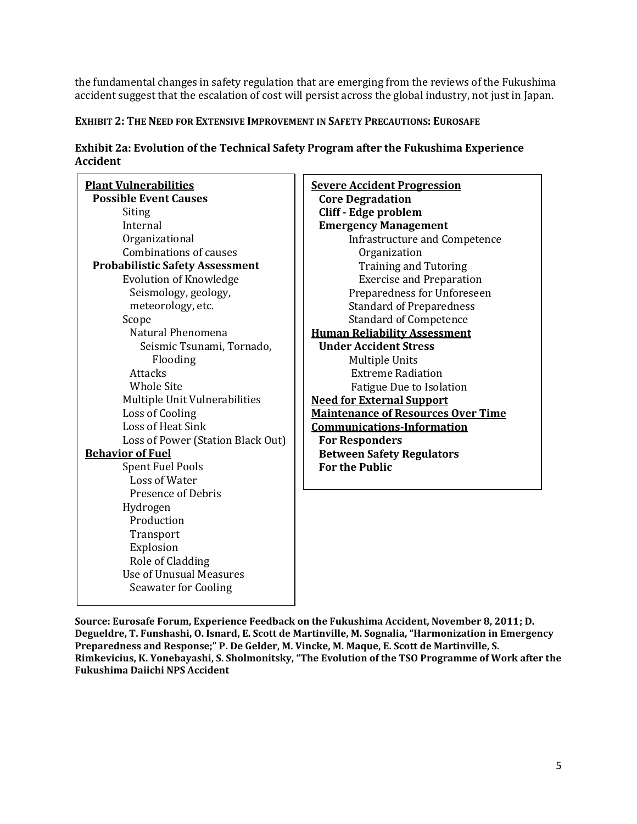the fundamental changes in safety regulation that are emerging from the reviews of the Fukushima accident suggest that the escalation of cost will persist across the global industry, not just in Japan.

## **EXHIBIT 2: THE NEED FOR EXTENSIVE IMPROVEMENT IN SAFETY PRECAUTIONS: EUROSAFE**

| Exhibit 2a: Evolution of the Technical Safety Program after the Fukushima Experience |  |
|--------------------------------------------------------------------------------------|--|
| Accident                                                                             |  |

| <b>Plant Vulnerabilities</b><br><b>Possible Event Causes</b> |  |  |  |  |
|--------------------------------------------------------------|--|--|--|--|
| Siting                                                       |  |  |  |  |
| Internal                                                     |  |  |  |  |
| Organizational                                               |  |  |  |  |
| <b>Combinations of causes</b>                                |  |  |  |  |
| <b>Probabilistic Safety Assessment</b>                       |  |  |  |  |
| <b>Evolution of Knowledge</b>                                |  |  |  |  |
| Seismology, geology,                                         |  |  |  |  |
| meteorology, etc.                                            |  |  |  |  |
| Scope                                                        |  |  |  |  |
| Natural Phenomena                                            |  |  |  |  |
| Seismic Tsunami, Tornado,                                    |  |  |  |  |
| Flooding                                                     |  |  |  |  |
| Attacks                                                      |  |  |  |  |
| <b>Whole Site</b>                                            |  |  |  |  |
| Multiple Unit Vulnerabilities                                |  |  |  |  |
| <b>Loss of Cooling</b>                                       |  |  |  |  |
| Loss of Heat Sink                                            |  |  |  |  |
| Loss of Power (Station Black Out)                            |  |  |  |  |
| <b>Behavior of Fuel</b>                                      |  |  |  |  |
| <b>Spent Fuel Pools</b>                                      |  |  |  |  |
| <b>Loss of Water</b>                                         |  |  |  |  |
| <b>Presence of Debris</b>                                    |  |  |  |  |
| Hydrogen                                                     |  |  |  |  |
| Production                                                   |  |  |  |  |
| Transport                                                    |  |  |  |  |
| Explosion                                                    |  |  |  |  |
| Role of Cladding                                             |  |  |  |  |
| Use of Unusual Measures                                      |  |  |  |  |
| <b>Seawater for Cooling</b>                                  |  |  |  |  |

| <b>Severe Accident Progression</b>        |  |  |  |  |
|-------------------------------------------|--|--|--|--|
| <b>Core Degradation</b>                   |  |  |  |  |
| Cliff - Edge problem                      |  |  |  |  |
| <b>Emergency Management</b>               |  |  |  |  |
| <b>Infrastructure and Competence</b>      |  |  |  |  |
| Organization                              |  |  |  |  |
| <b>Training and Tutoring</b>              |  |  |  |  |
| <b>Exercise and Preparation</b>           |  |  |  |  |
| Preparedness for Unforeseen               |  |  |  |  |
| <b>Standard of Preparedness</b>           |  |  |  |  |
| <b>Standard of Competence</b>             |  |  |  |  |
| <b>Human Reliability Assessment</b>       |  |  |  |  |
| <b>Under Accident Stress</b>              |  |  |  |  |
| <b>Multiple Units</b>                     |  |  |  |  |
| <b>Extreme Radiation</b>                  |  |  |  |  |
| Fatigue Due to Isolation                  |  |  |  |  |
| <b>Need for External Support</b>          |  |  |  |  |
| <b>Maintenance of Resources Over Time</b> |  |  |  |  |
| <b>Communications-Information</b>         |  |  |  |  |
| <b>For Responders</b>                     |  |  |  |  |
| <b>Between Safety Regulators</b>          |  |  |  |  |
| <b>For the Public</b>                     |  |  |  |  |
|                                           |  |  |  |  |

**Source: Eurosafe Forum, Experience Feedback on the Fukushima Accident, November 8, 2011; D. Degueldre, T. Funshashi, O. Isnard, E. Scott de Martinville, M. Sognalia, "Harmonization in Emergency Preparedness and Response;" P. De Gelder, M. Vincke, M. Maque, E. Scott de Martinville, S. Rimkevicius, K. Yonebayashi, S. Sholmonitsky, "The Evolution of the TSO Programme of Work after the Fukushima Daiichi NPS Accident**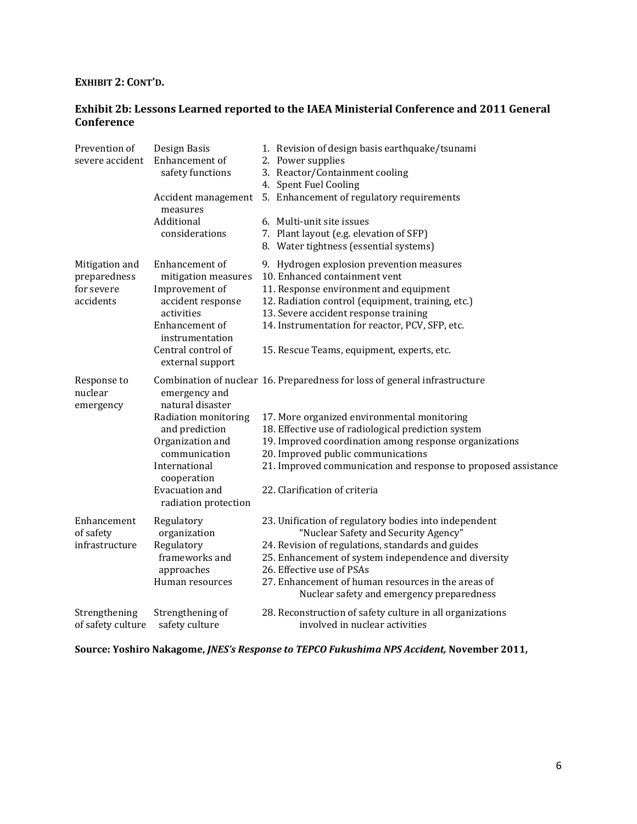## **EXHIBIT 2: CONT'D.**

## **Exhibit 2b: Lessons Learned reported to the IAEA Ministerial Conference and 2011 General Conference**

| Prevention of<br>severe accident                          | Design Basis<br>Enhancement of<br>safety functions<br>Accident management<br>measures<br>Additional<br>considerations                                                                      | 1. Revision of design basis earthquake/tsunami<br>2. Power supplies<br>3. Reactor/Containment cooling<br>4. Spent Fuel Cooling<br>5. Enhancement of regulatory requirements<br>6. Multi-unit site issues<br>7. Plant layout (e.g. elevation of SFP)                                                                                                                                 |
|-----------------------------------------------------------|--------------------------------------------------------------------------------------------------------------------------------------------------------------------------------------------|-------------------------------------------------------------------------------------------------------------------------------------------------------------------------------------------------------------------------------------------------------------------------------------------------------------------------------------------------------------------------------------|
| Mitigation and<br>preparedness<br>for severe<br>accidents | Enhancement of<br>mitigation measures<br>Improvement of<br>accident response<br>activities<br>Enhancement of<br>instrumentation<br>Central control of<br>external support                  | 8. Water tightness (essential systems)<br>9. Hydrogen explosion prevention measures<br>10. Enhanced containment vent<br>11. Response environment and equipment<br>12. Radiation control (equipment, training, etc.)<br>13. Severe accident response training<br>14. Instrumentation for reactor, PCV, SFP, etc.<br>15. Rescue Teams, equipment, experts, etc.                       |
| Response to<br>nuclear<br>emergency                       | emergency and<br>natural disaster<br>Radiation monitoring<br>and prediction<br>Organization and<br>communication<br>International<br>cooperation<br>Evacuation and<br>radiation protection | Combination of nuclear 16. Preparedness for loss of general infrastructure<br>17. More organized environmental monitoring<br>18. Effective use of radiological prediction system<br>19. Improved coordination among response organizations<br>20. Improved public communications<br>21. Improved communication and response to proposed assistance<br>22. Clarification of criteria |
| Enhancement<br>of safety<br>infrastructure                | Regulatory<br>organization<br>Regulatory<br>frameworks and<br>approaches<br>Human resources                                                                                                | 23. Unification of regulatory bodies into independent<br>"Nuclear Safety and Security Agency"<br>24. Revision of regulations, standards and guides<br>25. Enhancement of system independence and diversity<br>26. Effective use of PSAs<br>27. Enhancement of human resources in the areas of<br>Nuclear safety and emergency preparedness                                          |
| Strengthening<br>of safety culture                        | Strengthening of<br>safety culture                                                                                                                                                         | 28. Reconstruction of safety culture in all organizations<br>involved in nuclear activities                                                                                                                                                                                                                                                                                         |

**Source: Yoshiro Nakagome,** *JNES's Response to TEPCO Fukushima NPS Accident,* **November 2011,**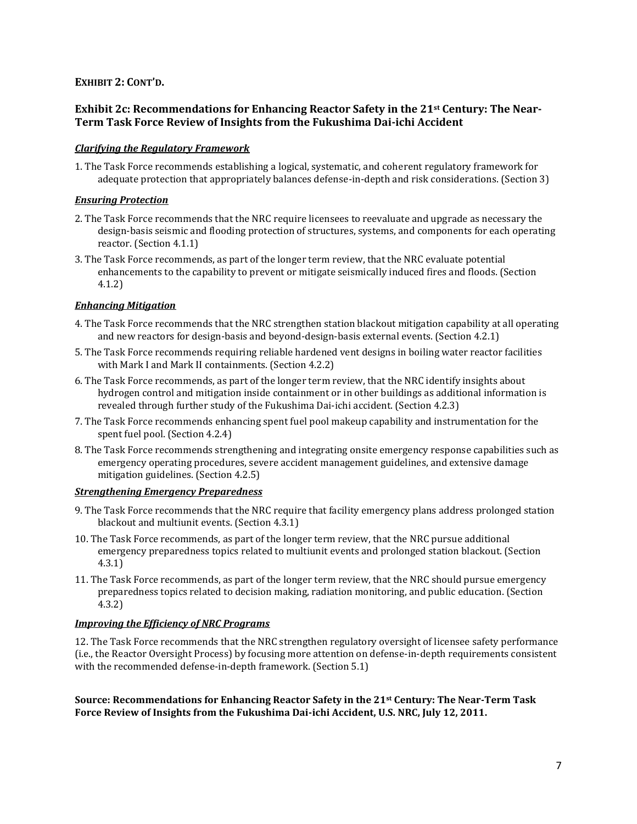### **EXHIBIT 2: CONT'D.**

### **Exhibit 2c: Recommendations for Enhancing Reactor Safety in the 21st Century: The Near-Term Task Force Review of Insights from the Fukushima Dai-ichi Accident**

### *Clarifying the Regulatory Framework*

1. The Task Force recommends establishing a logical, systematic, and coherent regulatory framework for adequate protection that appropriately balances defense-in-depth and risk considerations. (Section 3)

#### *Ensuring Protection*

- 2. The Task Force recommends that the NRC require licensees to reevaluate and upgrade as necessary the design-basis seismic and flooding protection of structures, systems, and components for each operating reactor. (Section 4.1.1)
- 3. The Task Force recommends, as part of the longer term review, that the NRC evaluate potential enhancements to the capability to prevent or mitigate seismically induced fires and floods. (Section 4.1.2)

#### *Enhancing Mitigation*

- 4. The Task Force recommends that the NRC strengthen station blackout mitigation capability at all operating and new reactors for design-basis and beyond-design-basis external events. (Section 4.2.1)
- 5. The Task Force recommends requiring reliable hardened vent designs in boiling water reactor facilities with Mark I and Mark II containments. (Section 4.2.2)
- 6. The Task Force recommends, as part of the longer term review, that the NRC identify insights about hydrogen control and mitigation inside containment or in other buildings as additional information is revealed through further study of the Fukushima Dai-ichi accident. (Section 4.2.3)
- 7. The Task Force recommends enhancing spent fuel pool makeup capability and instrumentation for the spent fuel pool. (Section 4.2.4)
- 8. The Task Force recommends strengthening and integrating onsite emergency response capabilities such as emergency operating procedures, severe accident management guidelines, and extensive damage mitigation guidelines. (Section 4.2.5)

#### *Strengthening Emergency Preparedness*

- 9. The Task Force recommends that the NRC require that facility emergency plans address prolonged station blackout and multiunit events. (Section 4.3.1)
- 10. The Task Force recommends, as part of the longer term review, that the NRC pursue additional emergency preparedness topics related to multiunit events and prolonged station blackout. (Section 4.3.1)
- 11. The Task Force recommends, as part of the longer term review, that the NRC should pursue emergency preparedness topics related to decision making, radiation monitoring, and public education. (Section 4.3.2)

#### *Improving the Efficiency of NRC Programs*

12. The Task Force recommends that the NRC strengthen regulatory oversight of licensee safety performance (i.e., the Reactor Oversight Process) by focusing more attention on defense-in-depth requirements consistent with the recommended defense-in-depth framework. (Section 5.1)

**Source: Recommendations for Enhancing Reactor Safety in the 21st Century: The Near-Term Task Force Review of Insights from the Fukushima Dai-ichi Accident, U.S. NRC, July 12, 2011.**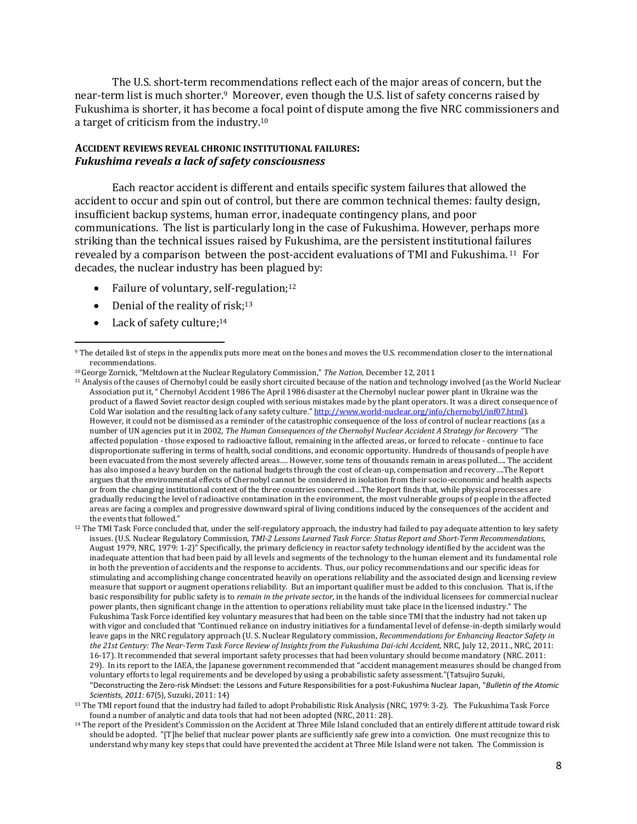The U.S. short-term recommendations reflect each of the major areas of concern, but the near-term list is much shorter.9 Moreover, even though the U.S. list of safety concerns raised by Fukushima is shorter, it has become a focal point of dispute among the five NRC commissioners and a target of criticism from the industry.<sup>10</sup>

### **ACCIDENT REVIEWS REVEAL CHRONIC INSTITUTIONAL FAILURES:** *Fukushima reveals a lack of safety consciousness*

Each reactor accident is different and entails specific system failures that allowed the accident to occur and spin out of control, but there are common technical themes: faulty design, insufficient backup systems, human error, inadequate contingency plans, and poor communications. The list is particularly long in the case of Fukushima. However, perhaps more striking than the technical issues raised by Fukushima, are the persistent institutional failures revealed by a comparison between the post-accident evaluations of TMI and Fukushima. <sup>11</sup> For decades, the nuclear industry has been plagued by:

- Failure of voluntary, self-regulation;<sup>12</sup>
- Denial of the reality of risk; $13$
- Lack of safety culture:<sup>14</sup>

 $\overline{\phantom{a}}$ 

<sup>12</sup> The TMI Task Force concluded that, under the self-regulatory approach, the industry had failed to pay adequate attention to key safety issues. (U.S. Nuclear Regulatory Commission, *TMI-2 Lessons Learned Task Force: Status Report and Short-Term Recommendations,*  August 1979, NRC, 1979: 1-2)" Specifically, the primary deficiency in reactor safety technology identified by the accident was the inadequate attention that had been paid by all levels and segments of the technology to the human element and its fundamental role in both the prevention of accidents and the response to accidents. Thus, our policy recommendations and our specific ideas for stimulating and accomplishing change concentrated heavily on operations reliability and the associated design and licensing review measure that support or augment operations reliability. But an important qualifier must be added to this conclusion. That is, if the basic responsibility for public safety is to *remain in the private sector,* in the hands of the individual licensees for commercial nuclear power plants, then significant change in the attention to operations reliability must take place in the licensed industry." The Fukushima Task Force identified key voluntary measures that had been on the table since TMI that the industry had not taken up with vigor and concluded that "Continued reliance on industry initiatives for a fundamental level of defense-in-depth similarly would leave gaps in the NRC regulatory approach (U. S. Nuclear Regulatory commission, *Recommendations for Enhancing Reactor Safety in the 21st Century: The Near-Term Task Force Review of Insights from the Fukushima Dai-ichi Accident,* NRC, July 12, 2011., NRC, 2011: 16-17). It recommended that several important safety processes that had been voluntary should become mandatory (NRC. 2011: 29). In its report to the IAEA, the Japanese government recommended that "accident management measures should be changed from voluntary efforts to legal requirements and be developed by using a probabilistic safety assessment."(Tatsujiro Suzuki, "Deconstructing the Zero-risk Mindset: the Lessons and Future Responsibilities for a post-Fukushima Nuclear Japan, "*Bulletin of the Atomic Scientists, 2011:* 67(5), Suzuki, 2011: 14)

<sup>&</sup>lt;sup>9</sup> The detailed list of steps in the appendix puts more meat on the bones and moves the U.S. recommendation closer to the international recommendations.

<sup>10</sup>George Zornick, "Meltdown at the Nuclear Regulatory Commission," *The Nation,* December 12, 2011

 $11$  Analysis of the causes of Chernobyl could be easily short circuited because of the nation and technology involved (as the World Nuclear Association put it, " Chernobyl Accident 1986 The April 1986 disaster at the Chernobyl nuclear power plant in Ukraine was the product of a flawed Soviet reactor design coupled with serious mistakes made by the plant operators. It was a direct consequence of Cold War isolation and the resulting lack of any safety culture." [http://www.world-nuclear.org/info/chernobyl/inf07.html\)](http://www.world-nuclear.org/info/chernobyl/inf07.html). However, it could not be dismissed as a reminder of the catastrophic consequence of the loss of control of nuclear reactions (as a number of UN agencies put it in 2002, *The Human Consequences of the Chernobyl Nuclear Accident A Strategy for Recovery* "The affected population - those exposed to radioactive fallout, remaining in the affected areas, or forced to relocate - continue to face disproportionate suffering in terms of health, social conditions, and economic opportunity. Hundreds of thousands of people have been evacuated from the most severely affected areas…. However, some tens of thousands remain in areas polluted…. The accident has also imposed a heavy burden on the national budgets through the cost of clean-up, compensation and recovery….The Report argues that the environmental effects of Chernobyl cannot be considered in isolation from their socio-economic and health aspects or from the changing institutional context of the three countries concerned…The Report finds that, while physical processes are gradually reducing the level of radioactive contamination in the environment, the most vulnerable groups of people in the affected areas are facing a complex and progressive downward spiral of living conditions induced by the consequences of the accident and the events that followed."

<sup>13</sup> The TMI report found that the industry had failed to adopt Probabilistic Risk Analysis (NRC, 1979: 3-2). The Fukushima Task Force found a number of analytic and data tools that had not been adopted (NRC, 2011: 28).

<sup>&</sup>lt;sup>14</sup> The report of the President's Commission on the Accident at Three Mile Island concluded that an entirely different attitude toward risk should be adopted. "[T]he belief that nuclear power plants are sufficiently safe grew into a conviction. One must recognize this to understand why many key steps that could have prevented the accident at Three Mile Island were not taken. The Commission is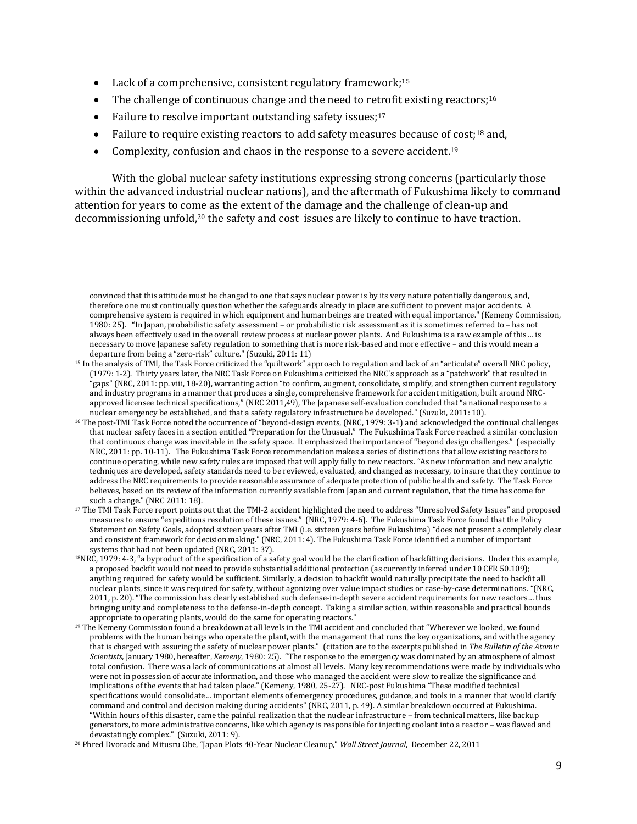- Lack of a comprehensive, consistent regulatory framework;<sup>15</sup>
- The challenge of continuous change and the need to retrofit existing reactors;<sup>16</sup>
- Failure to resolve important outstanding safety issues; $17$

 $\overline{\phantom{a}}$ 

- Failure to require existing reactors to add safety measures because of cost;<sup>18</sup> and,
- Complexity, confusion and chaos in the response to a severe accident.<sup>19</sup>

With the global nuclear safety institutions expressing strong concerns (particularly those within the advanced industrial nuclear nations), and the aftermath of Fukushima likely to command attention for years to come as the extent of the damage and the challenge of clean-up and decommissioning unfold,<sup>20</sup> the safety and cost issues are likely to continue to have traction.

convinced that this attitude must be changed to one that says nuclear power is by its very nature potentially dangerous, and, therefore one must continually question whether the safeguards already in place are sufficient to prevent major accidents. A comprehensive system is required in which equipment and human beings are treated with equal importance." (Kemeny Commission, 1980: 25). "In Japan, probabilistic safety assessment – or probabilistic risk assessment as it is sometimes referred to – has not always been effectively used in the overall review process at nuclear power plants. And Fukushima is a raw example of this… is necessary to move Japanese safety regulation to something that is more risk-based and more effective – and this would mean a departure from being a "zero-risk" culture." (Suzuki, 2011: 11)

<sup>15</sup> In the analysis of TMI, the Task Force criticized the "quiltwork" approach to regulation and lack of an "articulate" overall NRC policy, (1979: 1-2). Thirty years later, the NRC Task Force on Fukushima criticized the NRC's approach as a "patchwork" that resulted in "gaps" (NRC, 2011: pp. viii, 18-20), warranting action "to confirm, augment, consolidate, simplify, and strengthen current regulatory and industry programs in a manner that produces a single, comprehensive framework for accident mitigation, built around NRCapproved licensee technical specifications," (NRC 2011,49), The Japanese self-evaluation concluded that "a national response to a nuclear emergency be established, and that a safety regulatory infrastructure be developed." (Suzuki, 2011: 10).

<sup>16</sup> The post-TMI Task Force noted the occurrence of "beyond-design events, (NRC, 1979: 3-1) and acknowledged the continual challenges that nuclear safety faces in a section entitled "Preparation for the Unusual." The Fukushima Task Force reached a similar conclusion that continuous change was inevitable in the safety space. It emphasized the importance of "beyond design challenges." (especially NRC, 2011: pp. 10-11). The Fukushima Task Force recommendation makes a series of distinctions that allow existing reactors to continue operating, while new safety rules are imposed that will apply fully to new reactors. "As new information and new analytic techniques are developed, safety standards need to be reviewed, evaluated, and changed as necessary, to insure that they continue to address the NRC requirements to provide reasonable assurance of adequate protection of public health and safety. The Task Force believes, based on its review of the information currently available from Japan and current regulation, that the time has come for such a change." (NRC 2011: 18).

<sup>17</sup> The TMI Task Force report points out that the TMI-2 accident highlighted the need to address "Unresolved Safety Issues" and proposed measures to ensure "expeditious resolution of these issues." (NRC, 1979: 4-6). The Fukushima Task Force found that the Policy Statement on Safety Goals, adopted sixteen years after TMI (i.e. sixteen years before Fukushima) "does not present a completely clear and consistent framework for decision making." (NRC, 2011: 4). The Fukushima Task Force identified a number of important systems that had not been updated (NRC, 2011: 37).

<sup>18</sup>NRC, 1979: 4-3, "a byproduct of the specification of a safety goal would be the clarification of backfitting decisions. Under this example, a proposed backfit would not need to provide substantial additional protection (as currently inferred under 10 CFR 50.109); anything required for safety would be sufficient. Similarly, a decision to backfit would naturally precipitate the need to backfit all nuclear plants, since it was required for safety, without agonizing over value impact studies or case-by-case determinations. "(NRC, 2011, p. 20). "The commission has clearly established such defense-in-depth severe accident requirements for new reactors… thus bringing unity and completeness to the defense-in-depth concept. Taking a similar action, within reasonable and practical bounds appropriate to operating plants, would do the same for operating reactors."

<sup>&</sup>lt;sup>19</sup> The Kemeny Commission found a breakdown at all levels in the TMI accident and concluded that "Wherever we looked, we found problems with the human beings who operate the plant, with the management that runs the key organizations, and with the agency that is charged with assuring the safety of nuclear power plants." (citation are to the excerpts published in *The Bulletin of the Atomic Scientists,* January 1980, hereafter, *Kemeny*, 1980: 25). "The response to the emergency was dominated by an atmosphere of almost total confusion. There was a lack of communications at almost all levels. Many key recommendations were made by individuals who were not in possession of accurate information, and those who managed the accident were slow to realize the significance and implications of the events that had taken place." (Kemeny, 1980, 25-27). NRC-post Fukushima "These modified technical specifications would consolidate… important elements of emergency procedures, guidance, and tools in a manner that would clarify command and control and decision making during accidents" (NRC, 2011, p. 49). A similar breakdown occurred at Fukushima. "Within hours of this disaster, came the painful realization that the nuclear infrastructure – from technical matters, like backup generators, to more administrative concerns, like which agency is responsible for injecting coolant into a reactor – was flawed and devastatingly complex." (Suzuki, 2011: 9).

<sup>20</sup> Phred Dvorack and Mitusru Obe, "Japan Plots 40-Year Nuclear Cleanup," *Wall Street Journal*, December 22, 2011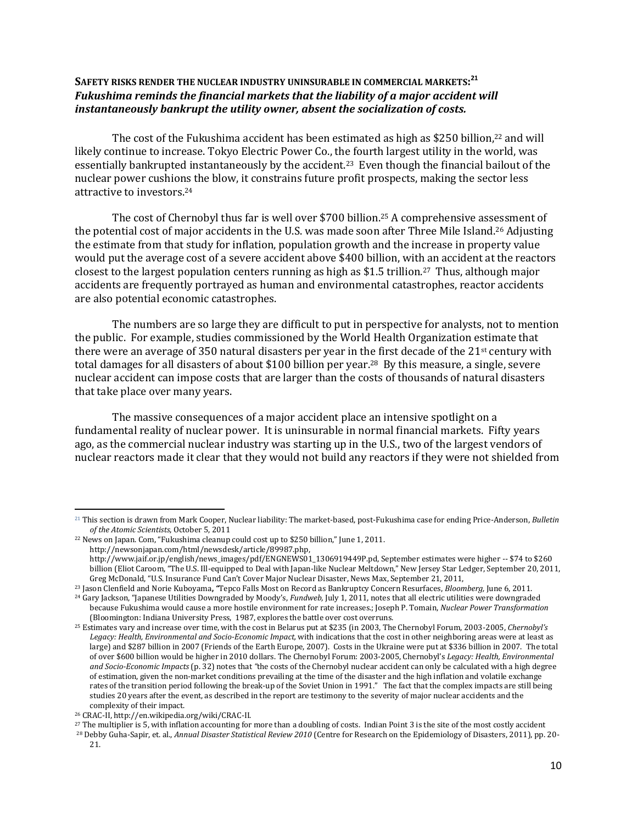## **SAFETY RISKS RENDER THE NUCLEAR INDUSTRY UNINSURABLE IN COMMERCIAL MARKETS: 21** *Fukushima reminds the financial markets that the liability of a major accident will instantaneously bankrupt the utility owner, absent the socialization of costs.*

The cost of the Fukushima accident has been estimated as high as \$250 billion, <sup>22</sup> and will likely continue to increase. Tokyo Electric Power Co., the fourth largest utility in the world, was essentially bankrupted instantaneously by the accident.<sup>23</sup> Even though the financial bailout of the nuclear power cushions the blow, it constrains future profit prospects, making the sector less attractive to investors.<sup>24</sup>

The cost of Chernobyl thus far is well over \$700 billion.<sup>25</sup> A comprehensive assessment of the potential cost of major accidents in the U.S. was made soon after Three Mile Island. <sup>26</sup> Adjusting the estimate from that study for inflation, population growth and the increase in property value would put the average cost of a severe accident above \$400 billion, with an accident at the reactors closest to the largest population centers running as high as \$1.5 trillion.27 Thus, although major accidents are frequently portrayed as human and environmental catastrophes, reactor accidents are also potential economic catastrophes.

The numbers are so large they are difficult to put in perspective for analysts, not to mention the public. For example, studies commissioned by the World Health Organization estimate that there were an average of 350 natural disasters per year in the first decade of the 21st century with total damages for all disasters of about \$100 billion per year.28 By this measure, a single, severe nuclear accident can impose costs that are larger than the costs of thousands of natural disasters that take place over many years.

The massive consequences of a major accident place an intensive spotlight on a fundamental reality of nuclear power. It is uninsurable in normal financial markets. Fifty years ago, as the commercial nuclear industry was starting up in the U.S., two of the largest vendors of nuclear reactors made it clear that they would not build any reactors if they were not shielded from

 $\overline{\phantom{a}}$ 

<sup>21</sup> This section is drawn from Mark Cooper, Nuclear liability: The market-based, post-Fukushima case for ending Price-Anderson, *Bulletin of the Atomic Scientists*, October 5, 2011

<sup>&</sup>lt;sup>22</sup> News on Japan. Com, "Fukushima cleanup could cost up to \$250 billion," June 1, 2011.

[http://newsonjapan.com/html/newsdesk/article/89987.php,](http://newsonjapan.com/html/newsdesk/article/89987.php) 

[http://www.jaif.or.jp/english/news\\_images/pdf/ENGNEWS01\\_1306919449P.pd,](http://www.jaif.or.jp/english/news_images/pdf/ENGNEWS01_1306919449P.pd) September estimates were higher -- \$74 to \$260 billion (Eliot Caroom, "The U.S. Ill-equipped to Deal with Japan-like Nuclear Meltdown," New Jersey Star Ledger, September 20, 2011, Greg McDonald, "U.S. Insurance Fund Can't Cover Major Nuclear Disaster, News Max, September 21, 2011,

<sup>23</sup> Jason Clenfield and Norie Kuboyama**,** *"*Tepco Falls Most on Record as Bankruptcy Concern Resurfaces, *Bloomberg,* June 6, 2011.

<sup>24</sup> Gary Jackson, "Japanese Utilities Downgraded by Moody's, *Fundweb,* July 1, 2011, notes that all electric utilities were downgraded because Fukushima would cause a more hostile environment for rate increases.; Joseph P. Tomain, *Nuclear Power Transformation*  (Bloomington: Indiana University Press, 1987, explores the battle over cost overruns.

<sup>25</sup> Estimates vary and increase over time, with the cost in Belarus put at \$235 (in 2003, The Chernobyl Forum, 2003-2005, *Chernobyl's Legacy: Health, Environmental and Socio-Economic Impact,* with indications that the cost in other neighboring areas were at least as large) and \$287 billion in 2007 (Friends of the Earth Europe, 2007). Costs in the Ukraine were put at \$336 billion in 2007. The total of over \$600 billion would be higher in 2010 dollars. The Chernobyl Forum: 2003-2005, Chernobyl's *Legacy: Health, Environmental and Socio-Economic Impacts* (p. 32) notes that *"*the costs of the Chernobyl nuclear accident can only be calculated with a high degree of estimation, given the non-market conditions prevailing at the time of the disaster and the high inflation and volatile exchange rates of the transition period following the break-up of the Soviet Union in 1991." The fact that the complex impacts are still being studies 20 years after the event, as described in the report are testimony to the severity of major nuclear accidents and the complexity of their impact.

<sup>26</sup> CRAC-II, http://en.wikipedia.org/wiki/CRAC-II.

<sup>&</sup>lt;sup>27</sup> The multiplier is 5, with inflation accounting for more than a doubling of costs. Indian Point 3 is the site of the most costly accident

<sup>28</sup> Debby Guha-Sapir, et. al., *Annual Disaster Statistical Review 2010* (Centre for Research on the Epidemiology of Disasters, 2011), pp. 20- 21.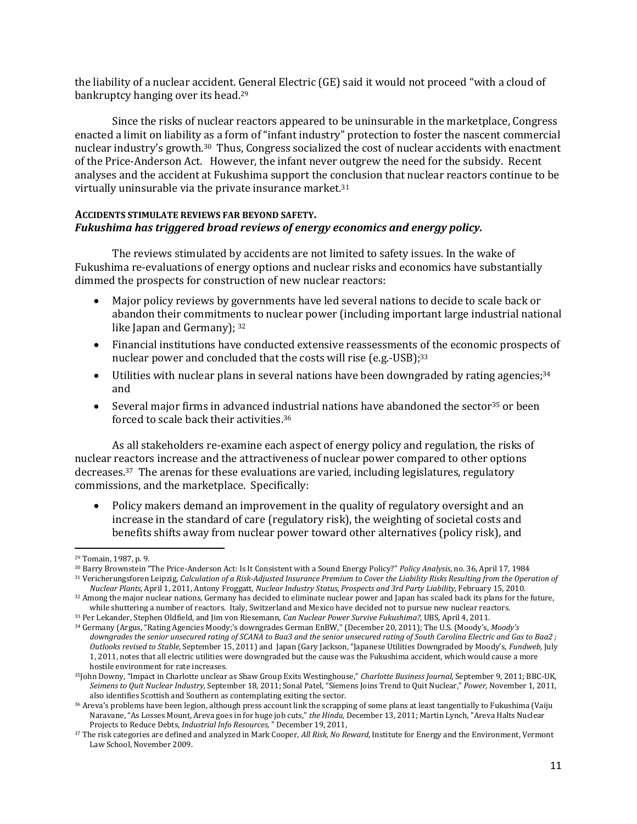the liability of a nuclear accident. General Electric (GE) said it would not proceed "with a cloud of bankruptcy hanging over its head.<sup>29</sup>

Since the risks of nuclear reactors appeared to be uninsurable in the marketplace, Congress enacted a limit on liability as a form of "infant industry" protection to foster the nascent commercial nuclear industry's growth.<sup>30</sup> Thus, Congress socialized the cost of nuclear accidents with enactment of the Price-Anderson Act. However, the infant never outgrew the need for the subsidy. Recent analyses and the accident at Fukushima support the conclusion that nuclear reactors continue to be virtually uninsurable via the private insurance market. 31

### **ACCIDENTS STIMULATE REVIEWS FAR BEYOND SAFETY.** *Fukushima has triggered broad reviews of energy economics and energy policy.*

The reviews stimulated by accidents are not limited to safety issues. In the wake of Fukushima re-evaluations of energy options and nuclear risks and economics have substantially dimmed the prospects for construction of new nuclear reactors:

- Major policy reviews by governments have led several nations to decide to scale back or abandon their commitments to nuclear power (including important large industrial national like Japan and Germany); <sup>32</sup>
- Financial institutions have conducted extensive reassessments of the economic prospects of nuclear power and concluded that the costs will rise (e.g.-USB);<sup>33</sup>
- Utilities with nuclear plans in several nations have been downgraded by rating agencies;<sup>34</sup> and
- $\bullet$  Several major firms in advanced industrial nations have abandoned the sector<sup>35</sup> or been forced to scale back their activities. 36

As all stakeholders re-examine each aspect of energy policy and regulation, the risks of nuclear reactors increase and the attractiveness of nuclear power compared to other options decreases.37 The arenas for these evaluations are varied, including legislatures, regulatory commissions, and the marketplace. Specifically:

 Policy makers demand an improvement in the quality of regulatory oversight and an increase in the standard of care (regulatory risk), the weighting of societal costs and benefits shifts away from nuclear power toward other alternatives (policy risk), and

 $\overline{a}$ <sup>29</sup> Tomain, 1987, p. 9.

<sup>30</sup> Barry Brownstein "The Price-Anderson Act: Is It Consistent with a Sound Energy Policy?" *Policy Analysis*, no. 36, April 17, 1984 <sup>31</sup> Vericherungsforen Leipzig*, Calculation of a Risk-Adjusted Insurance Premium to Cover the Liability Risks Resulting from the Operation of* 

*Nuclear Plants,* April 1, 2011, Antony Froggatt, *Nuclear Industry Status, Prospects and 3rd Party Liability,* February 15, 2010. <sup>32</sup> Among the major nuclear nations, Germany has decided to eliminate nuclear power and Japan has scaled back its plans for the future,

while shuttering a number of reactors. Italy, Switzerland and Mexico have decided not to pursue new nuclear reactors. <sup>33</sup> Per Lekander, Stephen Oldfield, and Jim von Riesemann, *Can Nuclear Power Survive Fukushima?,* UBS, April 4, 2011.

<sup>34</sup> Germany (Argus, "Rating Agencies Moody;'s downgrades German EnBW," (December 20, 2011); The U.S. (Moody's, *Moody's downgrades the senior unsecured rating of SCANA to Baa3 and the senior unsecured rating of South Carolina Electric and Gas to Baa2 ; Outlooks revised to Stable*, September 15, 2011) and Japan (Gary Jackson, "Japanese Utilities Downgraded by Moody's, *Fundweb,* July 1, 2011, notes that all electric utilities were downgraded but the cause was the Fukushima accident, which would cause a more hostile environment for rate increases.

<sup>35</sup>John Downy, "Impact in Charlotte unclear as Shaw Group Exits Westinghouse," *Charlotte Business Journal,* September 9, 2011; BBC-UK, *Seimens to Quit Nuclear Industry,* September 18, 2011; Sonal Patel, "Siemens Joins Trend to Quit Nuclear," *Power,* November 1, 2011, also identifies Scottish and Southern as contemplating exiting the sector.

<sup>36</sup> Areva's problems have been legion, although press account link the scrapping of some plans at least tangentially to Fukushima (Vaiju Naravane, "As Losses Mount, Areva goes in for huge job cuts," *the Hindu,* December 13, 2011; Martin Lynch, "Areva Halts Nuclear Projects to Reduce Debts, *Industrial Info Resources,* " December 19, 2011,

<sup>37</sup> The risk categories are defined and analyzed in Mark Cooper, *All Risk, No Reward,* Institute for Energy and the Environment, Vermont Law School, November 2009.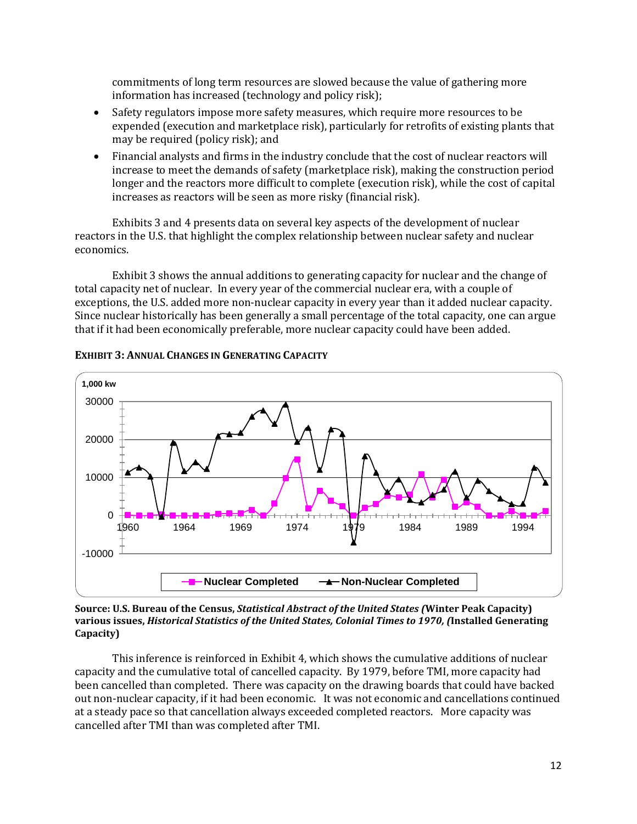commitments of long term resources are slowed because the value of gathering more information has increased (technology and policy risk);

- Safety regulators impose more safety measures, which require more resources to be expended (execution and marketplace risk), particularly for retrofits of existing plants that may be required (policy risk); and
- Financial analysts and firms in the industry conclude that the cost of nuclear reactors will increase to meet the demands of safety (marketplace risk), making the construction period longer and the reactors more difficult to complete (execution risk), while the cost of capital increases as reactors will be seen as more risky (financial risk).

Exhibits 3 and 4 presents data on several key aspects of the development of nuclear reactors in the U.S. that highlight the complex relationship between nuclear safety and nuclear economics.

Exhibit 3 shows the annual additions to generating capacity for nuclear and the change of total capacity net of nuclear. In every year of the commercial nuclear era, with a couple of exceptions, the U.S. added more non-nuclear capacity in every year than it added nuclear capacity. Since nuclear historically has been generally a small percentage of the total capacity, one can argue that if it had been economically preferable, more nuclear capacity could have been added.



**EXHIBIT 3: ANNUAL CHANGES IN GENERATING CAPACITY**

#### **Source: U.S. Bureau of the Census,** *Statistical Abstract of the United States (***Winter Peak Capacity) various issues,** *Historical Statistics of the United States, Colonial Times to 1970, (***Installed Generating Capacity)**

This inference is reinforced in Exhibit 4, which shows the cumulative additions of nuclear capacity and the cumulative total of cancelled capacity. By 1979, before TMI, more capacity had been cancelled than completed. There was capacity on the drawing boards that could have backed out non-nuclear capacity, if it had been economic. It was not economic and cancellations continued at a steady pace so that cancellation always exceeded completed reactors. More capacity was cancelled after TMI than was completed after TMI.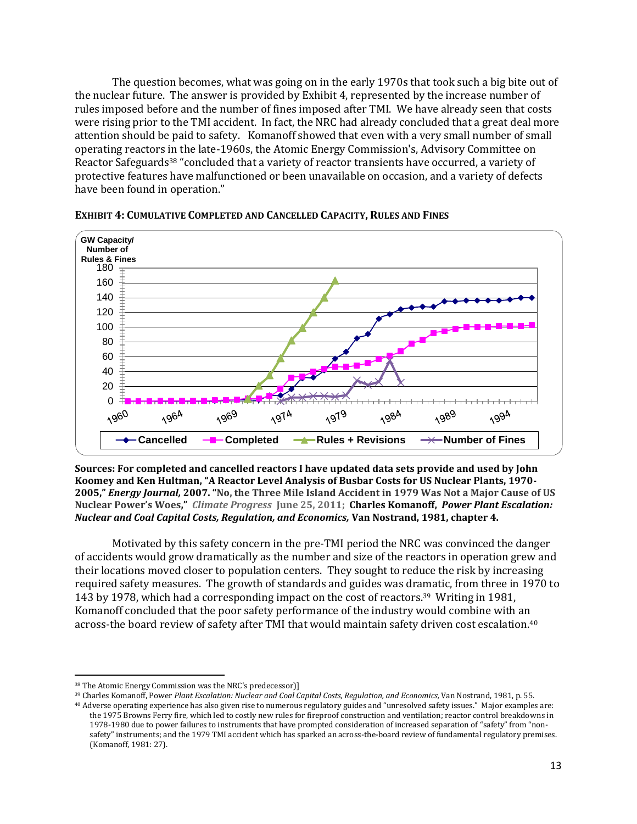The question becomes, what was going on in the early 1970s that took such a big bite out of the nuclear future. The answer is provided by Exhibit 4, represented by the increase number of rules imposed before and the number of fines imposed after TMI. We have already seen that costs were rising prior to the TMI accident. In fact, the NRC had already concluded that a great deal more attention should be paid to safety. Komanoff showed that even with a very small number of small operating reactors in the late-1960s, the Atomic Energy Commission's, Advisory Committee on Reactor Safeguards<sup>38</sup> "concluded that a variety of reactor transients have occurred, a variety of protective features have malfunctioned or been unavailable on occasion, and a variety of defects have been found in operation."



**EXHIBIT 4: CUMULATIVE COMPLETED AND CANCELLED CAPACITY, RULES AND FINES**

**Sources: For completed and cancelled reactors I have updated data sets provide and used by John Koomey and Ken Hultman, "A Reactor Level Analysis of Busbar Costs for US Nuclear Plants, 1970- 2005,"** *Energy Journal,* **2007. "[No, the Three Mile Island Accident in](http://thinkprogress.org/romm/2011/06/25/244122/three-mile-island-accident-nuclear-power/) 1979 Was Not a Major Cause of US [Nuclear Power's Woes,](http://thinkprogress.org/romm/2011/06/25/244122/three-mile-island-accident-nuclear-power/)"** *Climate Progress* **June 25, 2011; Charles Komanoff,** *Power Plant Escalation: Nuclear and Coal Capital Costs, Regulation, and Economics,* **Van Nostrand, 1981, chapter 4.** 

Motivated by this safety concern in the pre-TMI period the NRC was convinced the danger of accidents would grow dramatically as the number and size of the reactors in operation grew and their locations moved closer to population centers. They sought to reduce the risk by increasing required safety measures. The growth of standards and guides was dramatic, from three in 1970 to 143 by 1978, which had a corresponding impact on the cost of reactors.39 Writing in 1981, Komanoff concluded that the poor safety performance of the industry would combine with an across-the board review of safety after TMI that would maintain safety driven cost escalation.<sup>40</sup>

l

<sup>39</sup> Charles Komanoff, Power *Plant Escalation: Nuclear and Coal Capital Costs, Regulation, and Economics,* Van Nostrand, 1981, p. 55.

<sup>38</sup> The Atomic Energy Commission was the NRC's predecessor)]

<sup>40</sup> Adverse operating experience has also given rise to numerous regulatory guides and "unresolved safety issues." Major examples are: the 1975 Browns Ferry fire, which led to costly new rules for fireproof construction and ventilation; reactor control breakdowns in 1978-1980 due to power failures to instruments that have prompted consideration of increased separation of "safety" from "nonsafety" instruments; and the 1979 TMI accident which has sparked an across-the-board review of fundamental regulatory premises. (Komanoff, 1981: 27).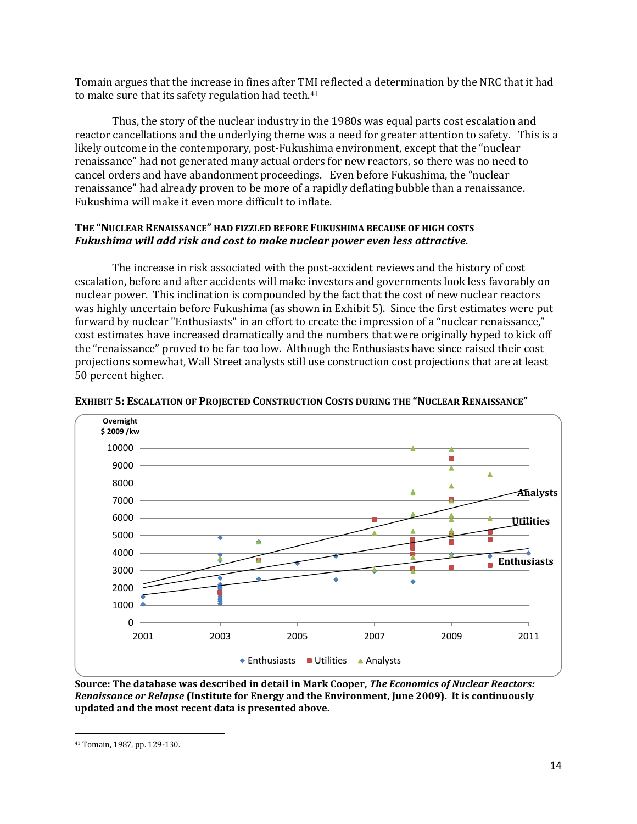Tomain argues that the increase in fines after TMI reflected a determination by the NRC that it had to make sure that its safety regulation had teeth.<sup>41</sup>

Thus, the story of the nuclear industry in the 1980s was equal parts cost escalation and reactor cancellations and the underlying theme was a need for greater attention to safety. This is a likely outcome in the contemporary, post-Fukushima environment, except that the "nuclear renaissance" had not generated many actual orders for new reactors, so there was no need to cancel orders and have abandonment proceedings. Even before Fukushima, the "nuclear renaissance" had already proven to be more of a rapidly deflating bubble than a renaissance. Fukushima will make it even more difficult to inflate.

## **THE "NUCLEAR RENAISSANCE" HAD FIZZLED BEFORE FUKUSHIMA BECAUSE OF HIGH COSTS** *Fukushima will add risk and cost to make nuclear power even less attractive.*

The increase in risk associated with the post-accident reviews and the history of cost escalation, before and after accidents will make investors and governments look less favorably on nuclear power. This inclination is compounded by the fact that the cost of new nuclear reactors was highly uncertain before Fukushima (as shown in Exhibit 5). Since the first estimates were put forward by nuclear "Enthusiasts" in an effort to create the impression of a "nuclear renaissance," cost estimates have increased dramatically and the numbers that were originally hyped to kick off the "renaissance" proved to be far too low. Although the Enthusiasts have since raised their cost projections somewhat, Wall Street analysts still use construction cost projections that are at least 50 percent higher.





**Source: The database was described in detail in Mark Cooper,** *The Economics of Nuclear Reactors: Renaissance or Relapse* **(Institute for Energy and the Environment, June 2009). It is continuously updated and the most recent data is presented above.**

l

<sup>41</sup> Tomain, 1987, pp. 129-130.